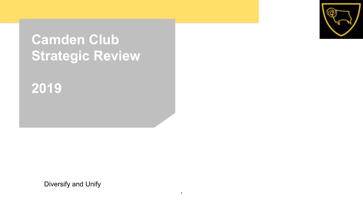# **Camden Club Strategic Review**



# **2019**

Diversify and Unify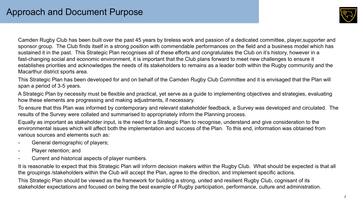

Camden Rugby Club has been built over the past 45 years by tireless work and passion of a dedicated committee, player,supporter and sponsor group. The Club finds itself in a strong position with commendable performances on the field and a business model which has sustained it in the past. This Strategic Plan recognises all of these efforts and congratulates the Club on it's history, however in a fast-changing social and economic environment, it is important that the Club plans forward to meet new challenges to ensure it establishes priorities and acknowledges the needs of its stakeholders to remains as a leader both within the Rugby community and the Macarthur district sports area.

This Strategic Plan has been developed for and on behalf of the Camden Rugby Club Committee and it is envisaged that the Plan will span a period of 3-5 years.

A Strategic Plan by necessity must be flexible and practical, yet serve as a guide to implementing objectives and strategies, evaluating how these elements are progressing and making adjustments, if necessary.

To ensure that this Plan was informed by contemporary and relevant stakeholder feedback, a Survey was developed and circulated. The results of the Survey were collated and summarised to appropriately inform the Planning process.

Equally as important as stakeholder input, is the need for a Strategic Plan to recognise, understand and give consideration to the environmental issues which will affect both the implementation and success of the Plan. To this end, information was obtained from various sources and elements such as:

- General demographic of players;
- Player retention; and
- Current and historical aspects of player numbers.

It is reasonable to expect that this Strategic Plan will inform decision makers within the Rugby Club. What should be expected is that all the groupings /stakeholders within the Club will accept the Plan, agree to the direction, and implement specific actions.

This Strategic Plan should be viewed as the framework for building a strong, united and resilient Rugby Club, cognisant of its stakeholder expectations and focused on being the best example of Rugby participation, performance, culture and administration.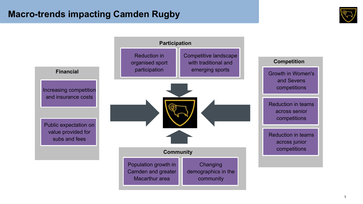### **Macro-trends impacting Camden Rugby**



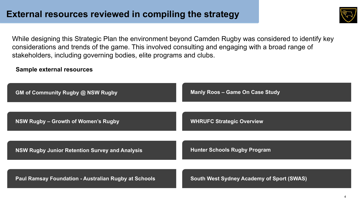![](_page_3_Picture_1.jpeg)

While designing this Strategic Plan the environment beyond Camden Rugby was considered to identify key considerations and trends of the game. This involved consulting and engaging with a broad range of stakeholders, including governing bodies, elite programs and clubs.

### **Sample external resources**

| <b>GM of Community Rugby @ NSW Rugby</b>                    | <b>Manly Roos - Game On Case Study</b>           |
|-------------------------------------------------------------|--------------------------------------------------|
| NSW Rugby - Growth of Women's Rugby                         | <b>WHRUFC Strategic Overview</b>                 |
| NSW Rugby Junior Retention Survey and Analysis              | <b>Hunter Schools Rugby Program</b>              |
| <b>Paul Ramsay Foundation - Australian Rugby at Schools</b> | <b>South West Sydney Academy of Sport (SWAS)</b> |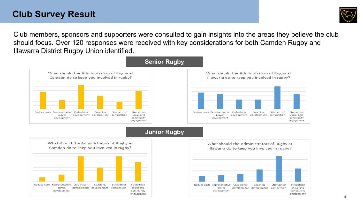### **Club Survey Result**

![](_page_4_Picture_1.jpeg)

Club members, sponsors and supporters were consulted to gain insights into the areas they believe the club should focus. Over 120 responses were received with key considerations for both Camden Rugby and Illawarra District Rugby Union identified.

![](_page_4_Figure_3.jpeg)

### **Junior Rugby**

![](_page_4_Figure_5.jpeg)

![](_page_4_Figure_6.jpeg)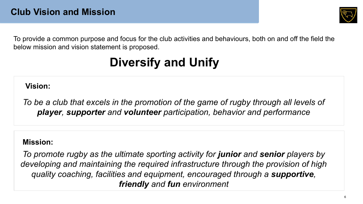![](_page_5_Picture_1.jpeg)

To provide a common purpose and focus for the club activities and behaviours, both on and off the field the below mission and vision statement is proposed.

# **Diversify and Unify**

**Vision:**

To be a club that excels in the promotion of the game of rugby through all levels of *player, supporter and volunteer participation, behavior and performance*

### **Mission:**

*To promote rugby as the ultimate sporting activity for junior and senior players by developing and maintaining the required infrastructure through the provision of high quality coaching, facilities and equipment, encouraged through a supportive, friendly and fun environment*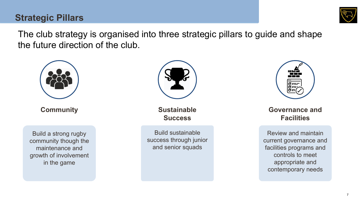## **Strategic Pillars**

![](_page_6_Picture_1.jpeg)

The club strategy is organised into three strategic pillars to guide and shape the future direction of the club.

![](_page_6_Picture_3.jpeg)

**Community**

Build a strong rugby community though the maintenance and growth of involvement in the game

![](_page_6_Picture_6.jpeg)

**Sustainable Success**

Build sustainable success through junior and senior squads

![](_page_6_Picture_9.jpeg)

**Governance and Facilities**

Review and maintain current governance and facilities programs and controls to meet appropriate and contemporary needs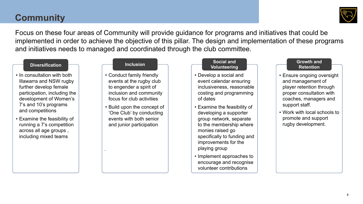## **Community**

![](_page_7_Picture_1.jpeg)

Focus on these four areas of Community will provide guidance for programs and initiatives that could be implemented in order to achieve the objective of this pillar. The design and implementation of these programs and initiatives needs to managed and coordinated through the club committee.

- In consultation with both Illawarra and NSW rugby further develop female participation, including the development of Women's 7's and 10's programs and competitions
- Examine the feasibility of running a 7's competition across all age groups , including mixed teams

- Conduct family friendly events at the rugby club to engender a spirit of inclusion and community focus for club activities
- Build upon the concept of 'One Club' by conducting events with both senior and junior participation

.

#### **Diversification Inclusion Inclusion Inclusion Inclusion Inclusion Inclusion Inclusion Inclusion Inclusion Volunteering**

- Develop a social and event calendar ensuring inclusiveness, reasonable costing and programming of dates
- Examine the feasibility of developing a supporter group network, separate to the membership where monies raised go specifically to funding and improvements for the playing group
- Implement approaches to encourage and recognise volunteer contributions

#### **Growth and Retention**

- Ensure ongoing oversight and management of player retention through proper consultation with coaches, managers and support staff.
- Work with local schools to promote and support rugby development.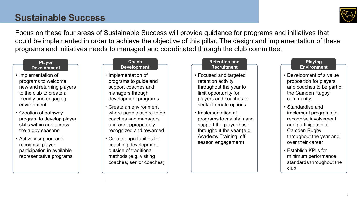## **Sustainable Success**

![](_page_8_Picture_1.jpeg)

Focus on these four areas of Sustainable Success will provide guidance for programs and initiatives that could be implemented in order to achieve the objective of this pillar. The design and implementation of these programs and initiatives needs to managed and coordinated through the club committee.

#### **Player Development**

- Implementation of programs to welcome new and returning players to the club to create a friendly and engaging environment
- Creation of pathway program to develop player skills within and across the rugby seasons
- Actively support and recognise player participation in available representative programs

#### **Coach Development**

- Implementation of programs to guide and support coaches and managers through development programs
- Create an environment where people aspire to be coaches and managers and are appropriately recognized and rewarded
- Create opportunities for coaching development outside of traditional methods (e.g. visiting coaches, senior coaches)

.

#### **Retention and Recruitment**

- Focused and targeted retention activity throughout the year to limit opportunity for players and coaches to seek alternate options
- Implementation of programs to maintain and support the player base throughout the year (e.g. Academy Training, off season engagement)

#### **Playing Environment**

- Development of a value proposition for players and coaches to be part of the Camden Rugby community
- Standardise and implement programs to recognise involvement and participation at Camden Rugby throughout the year and over their career
- Establish KPI's for minimum performance standards throughout the club